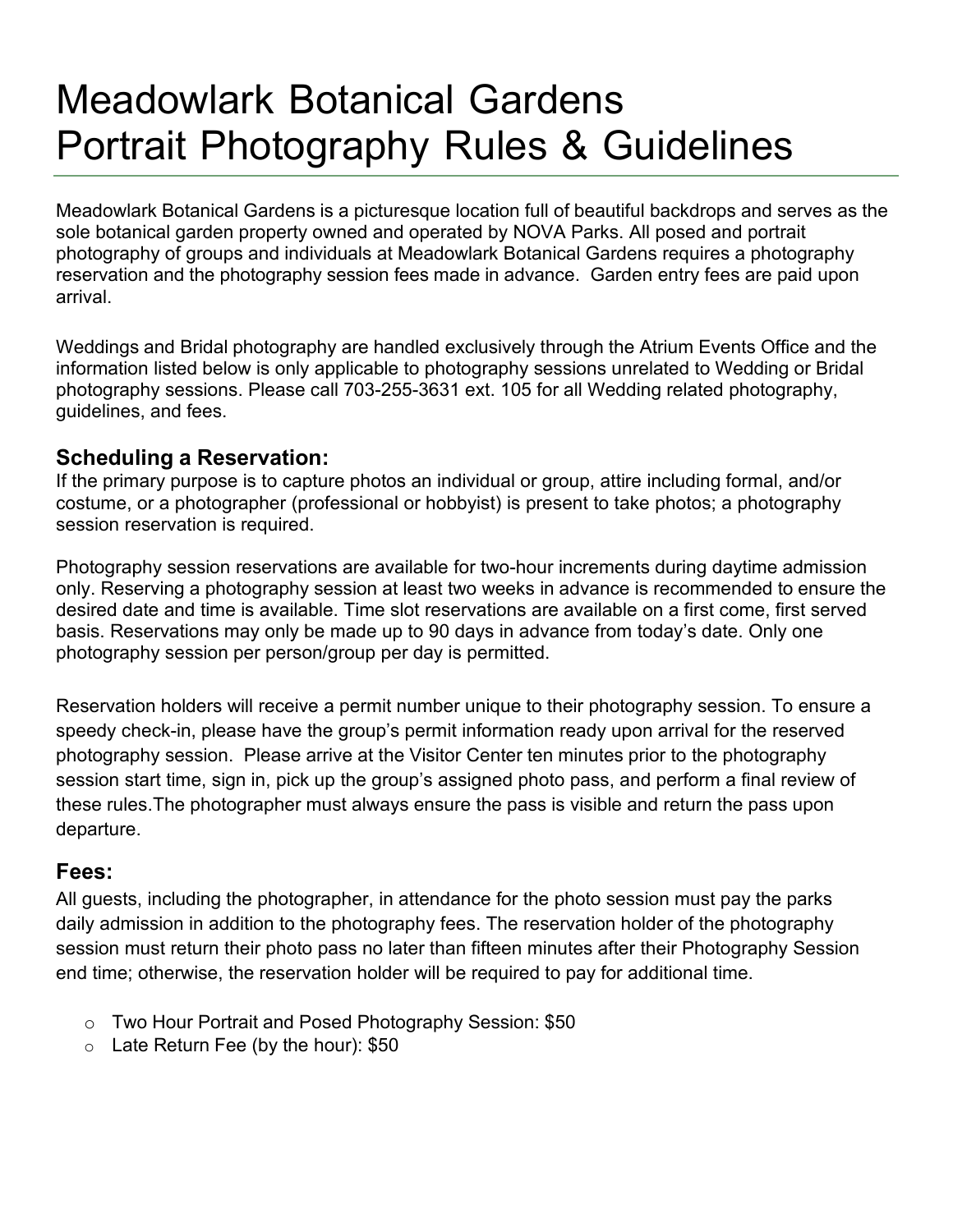# Meadowlark Botanical Gardens Portrait Photography Rules & Guidelines

Meadowlark Botanical Gardens is a picturesque location full of beautiful backdrops and serves as the sole botanical garden property owned and operated by NOVA Parks. All posed and portrait photography of groups and individuals at Meadowlark Botanical Gardens requires a photography reservation and the photography session fees made in advance. Garden entry fees are paid upon arrival.

Weddings and Bridal photography are handled exclusively through the Atrium Events Office and the information listed below is only applicable to photography sessions unrelated to Wedding or Bridal photography sessions. Please call 703-255-3631 ext. 105 for all Wedding related photography, guidelines, and fees.

# **Scheduling a Reservation:**

If the primary purpose is to capture photos an individual or group, attire including formal, and/or costume, or a photographer (professional or hobbyist) is present to take photos; a photography session reservation is required.

Photography session reservations are available for two-hour increments during daytime admission only. Reserving a photography session at least two weeks in advance is recommended to ensure the desired date and time is available. Time slot reservations are available on a first come, first served basis. Reservations may only be made up to 90 days in advance from today's date. Only one photography session per person/group per day is permitted.

Reservation holders will receive a permit number unique to their photography session. To ensure a speedy check-in, please have the group's permit information ready upon arrival for the reserved photography session. Please arrive at the Visitor Center ten minutes prior to the photography session start time, sign in, pick up the group's assigned photo pass, and perform a final review of these rules.The photographer must always ensure the pass is visible and return the pass upon departure.

# **Fees:**

All guests, including the photographer, in attendance for the photo session must pay the parks daily admission in addition to the photography fees. The reservation holder of the photography session must return their photo pass no later than fifteen minutes after their Photography Session end time; otherwise, the reservation holder will be required to pay for additional time.

- o Two Hour Portrait and Posed Photography Session: \$50
- o Late Return Fee (by the hour): \$50